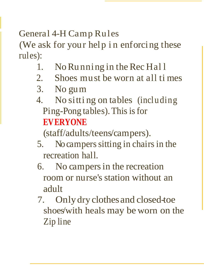## General 4-H Camp Rules

(We ask for your help in enforcing these rules):

- 1. No Running in the Rec Hall
- 2. Shoes must be worn at all ti mes
- 3. No gum
- 4. No sitti ng on tables (including Ping-Pong tables).This isfor **EVERYONE**

(staff/adults/teens/campers).

- 5. No campers sitting in chairs in the recreation hall.
- 6. No campersin the recreation room or nurse's station without an adult
- 7. Only dry clothesand closed-toe shoes/with heals may be worn on the Zip line